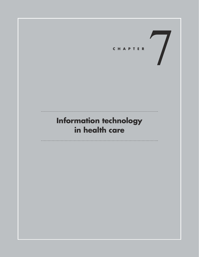

# **Information technology in health care**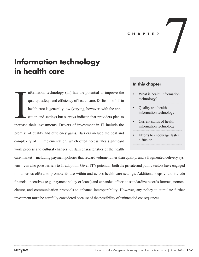#### **CHAPTER**

# **Information technology in health care**

nformation technology (IT) has the potential to improve the quality, safety, and efficiency of health care. Diffusion of IT in health care is generally low (varying, however, with the application and setting) but surveys indicate that providers plan to increase their investments. Drivers of investment in IT include the promise of quality and efficiency gains. Barriers include the cost and complexity of IT implementation, which often necessitates significant work process and cultural changes. Certain characteristics of the health **Increase** 

## **In this chapter**

What is health information technology?

 $\sqrt{2}$ 

- Quality and health information technology
- Current status of health information technology
- Efforts to encourage faster diffusion

care market—including payment policies that reward volume rather than quality, and a fragmented delivery system—can also pose barriers to IT adoption. Given IT's potential, both the private and public sectors have engaged in numerous efforts to promote its use within and across health care settings. Additional steps could include financial incentives (e.g., payment policy or loans) and expanded efforts to standardize records formats, nomenclature, and communication protocols to enhance interoperability. However, any policy to stimulate further investment must be carefully considered because of the possibility of unintended consequences.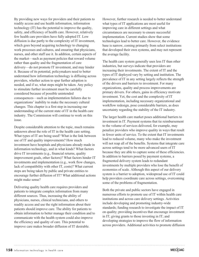By providing new ways for providers and their patients to readily access and use health information, information technology (IT) has the potential to improve the quality, safety, and efficiency of health care. However, relatively few health care providers have fully adopted IT. Low diffusion is due partly to the complexity of IT investment, which goes beyond acquiring technology to changing work processes and cultures, and ensuring that physicians, nurses, and other staff use it. In addition, certain aspects of the market—such as payment policies that reward volume rather than quality and the fragmentation of care delivery—do not promote IT investment, and may hinder it. Because of its potential, policymakers need to better understand how information technology is diffusing across providers, whether action to spur further adoption is needed, and if so, what steps might be taken. Any policy to stimulate further investment must be carefully considered because of possible unintended consequences—such as implementation failures due to organizations' inability to make the necessary cultural changes. This chapter is a first step in increasing our understanding of the current state of IT in the health care industry. The Commission will continue to work on this issue.

Despite considerable attention to the topic, much remains unknown about the role of IT in the health care setting. What types of IT are being used? What is the link between use of IT and quality improvements? How much investment have hospitals and physicians already made in information technology, and in what kinds? What factors drive IT investments (e.g., financial returns, quality improvement goals, other factors)? What factors hinder IT investments and implementation (e.g., work flow changes, lack of compatibility with other IT, costs)? What current steps are being taken by public and private entities to encourage further diffusion of IT? What additional actions might make sense?

Delivering quality health care requires providers and patients to integrate complex information from many different sources. Thus, increasing the ability of physicians, nurses, clinical technicians, and others to readily access and use the right information about their patients should improve care. The ability for patients to obtain information to better manage their condition and to communicate with the health system could also improve the efficiency and quality of care. This potential to improve care makes broader diffusion of IT desirable.

However, further research is needed to better understand what types of IT applications are most useful for improving care in different settings and what circumstances are necessary to ensure successful implementation. Current studies show that some technologies lead to better care. However, the evidence base is narrow, coming primarily from select institutions that developed their own systems, and may not represent the average facility.

The health care system generally uses less IT than other industries, but surveys indicate that providers are increasing their investments. The extent of IT and the types of IT deployed vary by setting and institution. The prevalence of IT in any setting largely reflects the strength of the drivers and barriers to investment. For many organizations, quality and process improvements are primary drivers. For others, gains in efficiency motivate investment. Yet, the cost and the complexity of IT implementation, including necessary organizational and workflow redesign, pose considerable barriers, as does uncertainty regarding the stability of the IT industry.

The larger health care market poses additional barriers to investment in IT. Payment systems that tie reimbursement to the volume of services delivered, for example, may penalize providers who improve quality in ways that result in fewer units of service. To the extent that IT investments lead to reduced volume, many who make the investment will not reap all of the benefits. Systems that integrate care across settings tend to be more advanced users of IT because they are able to capture some of these efficiencies. In addition to barriers posed by payment systems, a fragmented delivery system leads to redundant investments by multiple providers who lose the benefit of economies of scale. Although this aspect of our delivery system is a barrier to adoption, widespread use of IT could help providers coordinate care across settings, overcoming some of the problems of fragmentation.

Both the private and public sectors have engaged in numerous efforts to promote use of IT within health care institutions and across care delivery settings. Activities include developing and promoting industry-wide standards; funding research to investigate the impact of IT on quality; providing incentives that encourage investment in IT; giving grants to those investing in IT; and developing strategies to improve the flow of information across providers. Additional activities to promote diffusion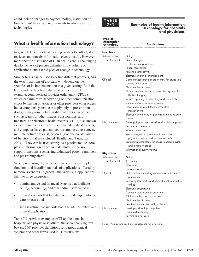could include changes to payment policy, institution of loan or grant funds, and requirements to adopt specific technologies.

# **What is health information technology?**

In general, IT allows health care providers to collect, store, retrieve, and transfer information electronically. However, more specific discussion of IT in health care is challenging due to the lack of precise definitions, the volume of applications, and a rapid pace of change in technology.

Similar terms can be used to define different products, and the exact functions of a system will depend on the specifics of its implementation in a given setting. Both the terms and the functions also change over time. For example, computerized provider order entry (CPOE), which can minimize handwriting or other communication errors by having physicians or other providers enter orders into a computer system, can apply only to prescription drugs, or may also include additional physician orders, such as x-rays or other images, consultations, and transfers. For electronic health records (EHRs, also known as electronic medical records, automated medical records, and computer-based patient records, among other names), multiple definitions exist, depending on the constellation of functions that are included (Brailler and Tarasawa  $2003$ ).<sup>1</sup> They can be used simply as a passive tool to store patient information or can include multiple decision support functions, such as individualized patient reminders and prescribing alerts.

When purchasing IT, providers must consider multiple functions and literally hundreds of applications offered by numerous vendors. In general, the various IT applications fall into three categories:

- administrative and financial systems that facilitate billing, accounting, and other administrative tasks;
- clinical systems that facilitate or provide input into the care process; and
- infrastructure that supports both the administrative and clinical applications.

Table 7-1 provides examples of IT applications in hospitals and physicians' offices; the accompanying text box (p. 160) provides definitions for various clinical systems and other terms used in IT discussions.



#### **Examples of health information technology for hospitals and physicians**

#### **Type of information technology Applications**

| Hospitals      |                                                     |
|----------------|-----------------------------------------------------|
| Administrative | Billing                                             |
| and financial  | General ledger                                      |
|                | Cost accounting systems                             |
|                | Patient registration                                |
|                | Personnel and payroll                               |
|                | Electronic materials management                     |
| Clinical       | Computerized provider order entry for drugs, lab    |
|                | tests, procedures                                   |
|                | Electronic health record                            |
|                | Picture archiving and communication systems for     |
|                | filmless imaging                                    |
|                | Results reporting of laboratory and other tests     |
|                | Clinical decision support systems                   |
|                | Prescription drug fulfillment, error-alert,         |
|                | transcriptions                                      |
|                | Electronic monitoring of patients in intensive care |
|                | units                                               |
| Infrastructure | Desktop, laptop, cart-based, and tablet computers   |
|                | Servers and networks                                |
|                | Wireless networks                                   |
|                | Voice recognition systems for transcription,        |
|                | physician orders, and medical records               |
|                | Bar-coding technology for drugs, medical devices,   |
|                | and inventory control                               |
|                | Information security systems                        |
| Physicians     |                                                     |

| <b>Physicians</b> |                                                                |  |  |
|-------------------|----------------------------------------------------------------|--|--|
| Administrative    | Billing                                                        |  |  |
| and financial     | Accounting                                                     |  |  |
|                   | Scheduling                                                     |  |  |
|                   | Personnel and payroll                                          |  |  |
| Clinical          | Online references (drug compendia and clinical<br>quidelines)  |  |  |
|                   | Receiving lab results and other clinical information<br>online |  |  |
|                   | Electronic prescribing                                         |  |  |
|                   | Computerized provider order entry                              |  |  |
|                   | Clinical decision support systems                              |  |  |
|                   | Electronic health record                                       |  |  |
|                   | E-mail communication with patients                             |  |  |
| Infrastructure    | Desktop and laptop computers                                   |  |  |
|                   | Handheld technology                                            |  |  |
|                   | Servers and network                                            |  |  |

Note: Applications listed are examples and not exhaustive.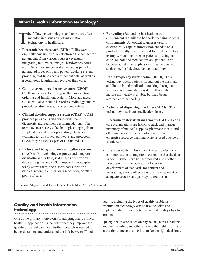# **What is health information technology?**

The following technologies and terms are often included in discussions of information technology in health care:

- **Electronic health record (EHR):** EHRs were originally envisioned as an electronic file cabinet for patient data from various sources (eventually integrating text, voice, images, handwritten notes, etc.). Now they are generally viewed as part of an automated order-entry and patient-tracking system providing real-time access to patient data, as well as a continuous longitudinal record of their care.
- **Computerized provider order entry (CPOE):** CPOE in its basic form is typically a medication ordering and fulfillment system. More advanced CPOE will also include lab orders, radiology studies, procedures, discharges, transfers, and referrals.
- **Clinical decision support system (CDSS):** CDSS provides physicians and nurses with real-time diagnostic and treatment recommendations. The term covers a variety of technologies ranging from simple alerts and prescription drug interaction warnings to full clinical pathways and protocols. CDSS may be used as part of CPOE and EHR.
- **Picture archiving and communications system (PACS):** This technology captures and integrates diagnostic and radiological images from various devices (e.g., x-ray, MRI, computed tomography scan), stores them, and disseminates them to a medical record, a clinical data repository, or other points of care.
- **Bar coding:** Bar coding in a health care environment is similar to bar-code scanning in other environments: An optical scanner is used to electronically capture information encoded on a product. Initially, it will be used for medication (for example, matching drugs to patients by using bar codes on both the medications and patients' arm bracelets), but other applications may be pursued, such as medical devices, lab, and radiology.
- **Radio frequency identification (RFID):** This technology tracks patients throughout the hospital, and links lab and medication tracking through a wireless communications system. It is neither mature nor widely available, but may be an alternative to bar coding.
- **Automated dispensing machines (ADMs):** This technology distributes medication doses.
- **Electronic materials management (EMM):** Health care organizations use EMM to track and manage inventory of medical supplies, pharmaceuticals, and other materials. This technology is similar to enterprise resource planning systems used outside of health care.
- **Interoperability:** This concept refers to electronic communication among organizations so that the data in one IT system can be incorporated into another. Discussions of interoperability focus on development of standards for content and messaging, among other areas, and development of adequate security and privacy safeguards.  $\blacksquare$

Source: Adapted from deliverable submitted to MedPAC by Abt Associates.

## **Quality and health information technology**

One of the primary motivators for adopting many clinical health IT applications is the belief that they improve the quality of patient care. Yet, further research is needed to better document and understand the link between IT and

quality, including the types of quality problems information technology can be used to solve and implementation strategies to ensure that quality objectives are met.

Quality health care relies on physicians, nurses, patients and their families, and others having the right information at the right time and using it to make the right decisions.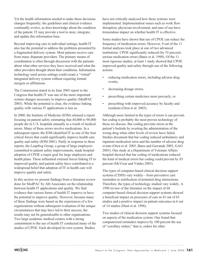Yet the health information needed to make these decisions changes frequently; the guidelines and clinical evidence continually evolve, as does knowledge about the condition of the patient. IT may provide a tool to store, integrate, and update this information base.

Beyond improving care in individual settings, health IT also has the potential to address the problems presented by a fragmented delivery system. Most patients receive care from many disparate providers. The primary means of coordination is often through discussion with the patients about what other services they have received and what the other providers thought about their conditions. Information technology used across settings could create a "virtual" integrated delivery system without requiring formal mergers or affiliations.

The Commission stated in its June 2003 report to the Congress that health IT was one of the more important system changes necessary to improve quality (MedPAC 2003). While the potential is clear, the evidence linking quality with various IT applications is less so.

In 2000, the Institute of Medicine (IOM) released a report focusing on patient safety estimating that 44,000 to 98,000 people die in U.S. hospitals annually as a result of medical errors. Many of these errors involve medications. In a subsequent report, the IOM identified IT as one of the four critical forces that could significantly improve health care quality and safety (IOM 2001). Partly in response to these reports, the Leapfrog Group, a group of large employers committed to patient safety improvements, made hospital adoption of CPOE a major goal for large employers and health plans. These influential external forces linking IT to improved quality and patient safety have contributed to a widespread belief that adoption of IT in health care will improve quality and safety.

In this section we present findings from a literature review done for MedPAC by Abt Associates on the relationship between health IT applications and quality. We find evidence that various forms of health IT improve or have the potential to improve quality. However, because many of these findings were based on the experiences of a few organizations without subsequent evaluation of the unique circumstances that may have led to their success, the results may not be generalizable to other organizations. Two large academic medical centers with a strong commitment to the use of health IT conducted many of the studies of CPOE. Each developed its own system. Studies

have not critically analyzed how these systems were implemented. Implementation issues such as work flow disruption, physician involvement, and ease of use have tremendous impact on whether health IT is effective.

Some studies have shown that use of CPOE can reduce the frequency of medication errors. However, 9 out of the 11 formal analyses took place at one of two advanced institutions. CPOE significantly reduced (by 55 percent) serious medication errors (Bates et al. 1998). Of the 11 most rigorous studies, at least 1 study showed that CPOE improved quality and safety through one of the following actions:

- reducing medication errors, including adverse drug events;
- decreasing dosage errors;
- prescribing certain medicines more precisely; or
- prescribing with improved accuracy by faculty and residents (Oren et al. 2003).

Although more limited in the types of errors it can prevent, bar coding is probably the most proven technology of those we discuss. Bar coding prevents errors at the patient's bedside by averting the administration of the wrong drug when other levels of review have failed. Studies document that bar coding reduced ambulatory and inpatient medication error and the number of adverse drug events (Oren et al. 2003, Bates and Gawande 2003, GAO 2003). One study at a Department of Veterans Affairs hospital showed that bar coding of medications reduced the kind of medical errors bar coding could prevent by 85 percent (McVicar and Valdes 2003).

The types of computer-based clinical decision support systems (CDSS) vary widely—from preventive care reminders to notification of potential drug interactions. Therefore, the types of technology studied vary widely. A 1998 review of the literature on the impact of 68 computer-based clinical decision support systems showed a beneficial impact on processes of care in 43 out of 65 studies and a positive impact on patient outcomes in 6 out of 14 studies (Hunt et al. 1998).

Two studies of clinical decision support systems focused on aspects of the medication system. One found that computerized reminders improve by 100 percent the use of "corollary orders," that is, orders for other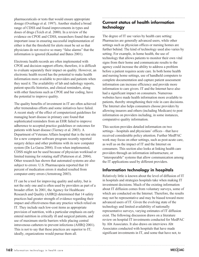pharmaceuticals or tests that would ensure appropriate dosage (Overhage et al. 1997). Another studied a broad range of CDSS and found improvements in types and doses of drugs (Teich et al. 2000). In a review of the evidence on CPOE and CDSS, researchers found that one important issue in ensuring successful implementation of either is that the threshold for alerts must be set so that physicians do not receive so many "false alarms" that the information is ignored (Kaushal and Bates 2001).

Electronic health records are often implemented with CPOE and decision support efforts; therefore, it is difficult to evaluate separately their impact on quality. However, an electronic health record has the potential to make health information more available to providers and patients when they need it. The availability of lab and radiology reports, patient-specific histories, and clinical reminders, along with other functions such as CPOE and bar coding, have the potential to improve quality.

The quality benefits of investment in IT are often achieved after tremendous efforts and some initiatives have failed. A recent study of the effect of computerized guidelines for managing heart disease in primary care found that sophisticated reminders from an EHR failed to improve adherence to accepted practice guidelines or outcomes for patients with heart disease (Tierney et al. 2003). A Department of Veterans Affairs hospital that is the test site for a new computer software program recently reported surgery delays and other problems with its new computer system (De La Garza 2004). Even when implemented, CDSS might not be used because of physician workload or limited training for rotating staff (Patterson et al. 2004). Other research has shown that automated systems are also subject to errors: U.S. Pharmacopeia reported that 10 percent of medication errors it studied resulted from computer-entry errors (Armstrong 2003).

IT can be a tool for improving quality and safety, but is not the only one and is often used by providers as part of a broader effort. In 2001, the Agency for Healthcare Research and Quality (AHRQ) determined that 14 safety practices had greater strength of evidence regarding their impact and effectiveness than any practice which relied on IT. They include such low-cost items as appropriate provision of nutrition, with a particular emphasis on early enteral nutrition in critically ill and surgical patients, and use of maximum sterile barriers while placing central intravenous catheters to prevent infections (AHRQ 2001). This is not to say that these practices are superior to IT; ideally, organizations would pursue them all.

# **Current status of health information technology**

The degree of IT use varies by health care setting: Pharmacies are generally advanced users, while other settings such as physician offices or nursing homes are further behind. The kind of technology used also varies by setting. For example, in home health, the use of technology that allows patients to monitor their own vital signs from their home and communicate results to the agency could increase the ability to address a problem before a patient requires acute care. In both home health and nursing home settings, use of handheld computers to complete documentation and capture patient assessment information can increase efficiency and provide more information to care givers. IT and the Internet have also had a significant impact on consumers. Numerous websites have made health information more available to patients, thereby strengthening their role in care decisions. The Internet also helps consumers choose providers by allowing insurers and others (including Medicare) to post information on providers including, in some instances, comparative quality information.

This section provides detailed information on two settings—hospitals and physicians' offices—that have received considerable policy attention. Further MedPAC work may focus on other settings, such as post-acute care, as well as on the impact of IT and the Internet on consumers. This section also looks at linking health care providers through an information infrastructure, or "interoperable" systems that allow communication among the IT applications used by different providers.

# **Information technology in hospitals**

Relatively little is known about the level of diffusion of IT in hospitals and strategies hospitals take when making IT investment decisions. Much of the existing information about IT diffusion comes from voluntary surveys, some of which are conducted on the Internet. Therefore, the results may not be representative and may be biased toward more advanced users of IT. Given the evolving state of the technology and limited availability of nationally representative surveys, varying estimates of IT diffusion exist. The following discussion draws on a literature review on hospital IT investments conducted for MedPAC by Abt Associates. It also draws on interviews Abt Associates conducted with hospitals that have made significant investments in IT, and some that have not, to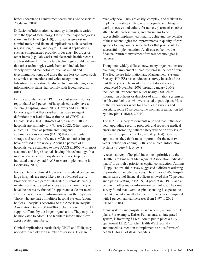better understand IT investment decisions (Abt Associates 2004a and 2004b).

Diffusion of information technology in hospitals varies with the type of technology. Of the three major categories shown in Table 7-1 (p. 159), diffusion is greatest in administrative and financial applications such as patient registration, billing, and payroll. Clinical applications, such as computerized provider order entry for drugs or other items (e.g., lab work) and electronic health records, are less diffused. Infrastructure technologies build the base that other technologies work from, and include both widely diffused technologies, such as e-mail and telecommunications, and those that are less common, such as wireless connections and voice recognition. Infrastructure investments also include maintaining secure information systems that comply with federal security rules.

Estimates of the use of CPOE vary, but several studies report that 5 to 6 percent of hospitals currently have a system (Leapfrog Group 2004, Devers and Liu 2004). Others argue that these studies may have stringent definitions that lead to low estimates of CPOE use (iHealthBeat 2003). Estimates of the use of EHRs in hospitals are similarly low (Glaser 2002). Other types of clinical IT—such as picture archiving and communications systems (PACS) that allow digital storage and retrieval of x-rays, MRIs, and other images have diffused more widely. About 15 percent of all hospitals were estimated to have PACS in 2002, with most academic and large hospitals having this technology. In a more recent survey of hospital executives, 49 percent indicated that they had PACS or were implementing it (Morrissey 2004).

For each type of clinical IT, academic medical centers and large hospitals are more likely to be advanced users. Providers who are part of integrated systems delivering inpatient and outpatient services are also more likely to have the necessary financial support and a clearer need to ensure smooth flow of information across their systems. Those who are part of multiple hospital systems (about half of all hospitals according to the American Hospital Association Guide 2003–2004) probably benefit from IT support offered by the larger organization. They may also be motivated to adopt IT to facilitate information flow across system members.

Clinical applications, particularly CPOE and EHR, may not diffuse rapidly for a number of reasons. They are

relatively new. They are costly, complex, and difficult to implement in stages. They require significant changes in work processes and culture for nurses, pharmacists, other allied health professionals, and physicians to be successfully implemented. Finally, achieving the benefits of these technologies for improvements in quality of care appears to hinge on the same factors that pose a risk to successful implementation. As discussed below, the financial return to investment for these technologies is uncertain.

Though not widely diffused now, many organizations are planning to implement clinical systems in the near future. The Healthcare Information and Management Systems Society (HIMSS) has conducted a survey in each of the past three years. The most recent web-based survey (conducted November 2003 through January 2004) included 307 respondents out of nearly 2,000 chief information officers or directors of information systems at health care facilities who were asked to participate. Most of the respondents work for health care systems and hospitals; some 86 percent came from an organization led by a hospital (HIMSS 2004a).

The HIMSS survey respondents reported that in the next year, upgrading security protocols and reducing medical errors and promoting patient safety will be priority issues for their IT departments (Figure 7-1, p. 164). Specific applications they think most important for the next two years include bar coding, EHR, and clinical information systems (Figure 7-1, p. 164).

A recent survey of hospital investment priorities by the Health Care Financial Management Association indicated that IT is as high a priority as capital construction. Among IT applications, this survey suggested a different ordering of priorities than other surveys. The survey of 460 hospital and system chief financial officers showed that 72 percent anticipate investing in PACS, 64 percent in CPOE, and 61 percent in other major information technology. The same survey found that overall capital spending is expected to rise 14 percent annually for the next five years, compared with 1 percent annual increases from 1997 to 2001 (HFMA 2004).

Many systems and hospitals have recently announced IT plans. For example, Kaiser Permanente, an integrated system, is investing \$1.8 billion to put in place a fully operational EHR. Catholic Health West recently announced its intention to implement various forms of health IT for all of its 41 hospitals.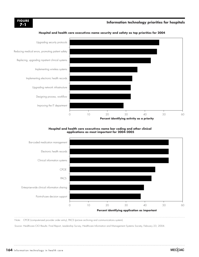# **7-1**

# **Information technology priorities for hospitals FIGURE**



#### **Hospital and health care executives name security and safety as top priorities for 2004**

#### **Hospital and health care executives name bar coding and other clinical applications as most important for 2004–2005**



Note: CPOE (computerized provider order entry), PACS (picture archiving and communications system).

Source: Healthcare CIO Results: Final Report, Leadership Survey, Healthcare Information and Management Systems Society, February 23, 2004.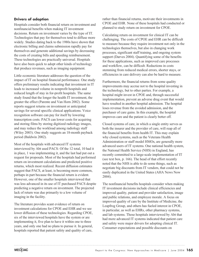### **Drivers of adoption**

Hospitals consider both financial return on investment and nonfinancial benefits when making IT investment decisions. Return on investment varies by the type of IT. Technologies that pay for themselves tend to diffuse more widely. Studies dating back to the 1980s have shown that electronic billing and claims submission rapidly pay for themselves and generate additional savings by decreasing the costs of creating bills and speeding reimbursement. These technologies are practically universal. Hospitals have also been quick to adopt other kinds of technology that produce revenues, such as imaging equipment.

Little economic literature addresses the question of the impact of IT on hospital financial performance. One study offers preliminary results indicating that investment in IT leads to increased volume in nonprofit hospitals and reduced length of stay in for-profit hospitals. The same study found that the longer the health IT investment, the greater the effect (Parente and Van Horn 2002). Some reports suggest returns on investment or anticipated savings for several specific clinical applications. Voice recognition software can pay for itself by lowering transcription costs. PACS can lower costs for acquiring and storing films by storing digitized radiology images, and may reduce the workload among radiology staff (Wiley 2003). One study suggests an 18-month payback period (Baldwin 2002).

Most of the hospitals with advanced IT systems interviewed by Abt used PACS: Of the 12 total, 10 had it in place, 1 was implementing it, and the last had put out a request for proposals. Most of the hospitals had performed return on investment calculations and predicted positive returns, which most realized. Recent diffusion estimates suggest that PACS, at least, is becoming more common, perhaps in part because the financial return is evident. However, one of the smaller hospitals interviewed that was less advanced in its use of IT purchased PACS despite predicting a negative return on investment. The projected lack of return was due primarily to a low volume of imaging in the facility.

The literature provides scant evidence of return on investment calculations for CPOE and EHR and we see lower diffusion of these technologies. Regarding CPOE, six of the interviewed hospitals have the system or are implementing it, five plan to have it within one to three years, and only one had no plans to pursue it. In general, hospitals reported that patient safety and quality of care,

rather than financial returns, motivate their investments in CPOE and EHR. None of these hospitals had conducted or planned to study return on investment for CPOE.

Calculating return on investment for clinical IT can be challenging. The costs of CPOE and EHR can be difficult to measure because they require investment not only in the technologies themselves, but also in changing work processes, significant staff training, and ongoing system support (Darves 2004). Quantifying some of the benefits for these applications, such as improved care processes and workflow, can be difficult. Reductions in costs stemming from reduced medical errors, shorter stays, or efficiencies in care delivery can also be hard to measure.

Furthermore, the financial returns from some quality improvements may accrue not to the hospital investing in the technology, but to other parties. For example, a hospital might invest in CPOE and, through successful implementation, prevent an adverse drug event that would have resulted in another hospital admission. The hospital loses revenue from the avoided admission, and the purchaser of care gains. In this example, the hospital improves care and the patient is clearly better off.

Closed systems of care, in which a single entity serves as both the insurer and the provider of care, will reap all of the financial benefits from health IT. This may explain why closed systems, such as the Veterans Health Administration or staff model HMOs, are generally more advanced users of IT systems. One national health system, the National Health Service (NHS) in England, has recently committed to a large-scale implementation of IT (see text box, p. 166). The head of that effort recently noted that the NHS is able to do some things, such as negotiate big discounts from IT vendors, that could not be easily duplicated in the United States (AHA News Now 2004).

The nonfinancial benefits hospitals consider when making IT investment decisions include clinical efficiencies and improved quality, patient and provider satisfaction, image and public relations, and employee morale. A focus on improved quality of care by the Institute of Medicine, the Leapfrog Group, and others has fueled interest in CPOE, in particular, as well as EHRs, other pharmacy systems, and lab systems. Those hospitals interviewed by Abt that had more advanced IT systems indicated that patient care and safety were major drivers for adopting clinical IT. Consumer expectations and possible discounts on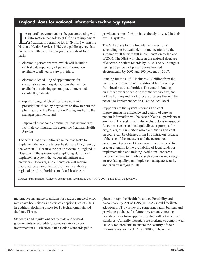# **England plans for national information technology system**

Ingland's government has begun contracting with<br>information technology (IT) firms to implement<br>a National Programme for IT (NPfIT) within the<br>National Health Service (NHS) the public agency that information technology (IT) firms to implement a National Programme for IT (NPfIT) within the National Health Service (NHS), the public agency that provides health care. The program consists of four parts:

- electronic patient records, which will include a central data repository of patient information available to all health care providers;
- electronic scheduling of appointments for consultations and hospitalizations that will be available to referring general practitioners and, eventually, patients;
- e-prescribing, which will allow electronic prescriptions filled by physicians to flow to both the pharmacy and the Prescription Pricing Authority that manages payments; and
- improved broadband communications networks to facilitate communication across the National Health Service.

The NPfIT has an ambitious agenda that seeks to implement the world's largest health care IT system by the year 2010. Because the health system in England is closed, with the government employing staff, it can implement a system that covers all patients and providers. However, implementation will require coordination among the national health authority, regional health authorities, and local health care

providers, some of whom have already invested in their own IT systems.

The NHS plans for the first element, electronic scheduling, to be available in some locations by the summer of 2004, with full implementation by the end of 2005. The NHS will phase in the national database of electronic patient records by 2010. The NHS targets having 50 percent of prescriptions handled electronically by 2005 and 100 percent by 2007.

Funding for the NPfIT includes \$17 billion from the national government, with additional funds coming from local health authorities. The central funding currently covers only the cost of the technology, and not the training and work process changes that will be needed to implement health IT at the local level.

Supporters of the system predict significant improvements in efficiency and quality of care, as patient information will be accessible to all providers at any time. The system will also include decision-support functions, such as clinical guidelines or prompts for drug allergies. Supporters also claim that significant discounts can be obtained from IT contractors because of the size of the endeavor and the centralized procurement process. Others have noted the need for greater attention to the availability of local funds for implementation and training. Additional concerns include the need to involve stakeholders during design, ensure data quality, and implement adequate security and privacy safeguards.  $\blacksquare$ 

Sources: Parliamentary Office of Science and Technology 2004, NHS 2004, Naik 2003, Dodge 2004.

malpractice insurance premiums for reduced medical error rates have been cited as drivers of adoption (Scalet 2003). In addition, declining prices for IT technologies should facilitate IT use.

Standards and regulations set by state and federal governments or accrediting agencies can also spur investment in IT. Electronic transaction standards put in place through the Health Insurance Portability and Accountability Act of 1996 (HIPAA) should facilitate adoption of IT by removing some innovation barriers and providing guidance for future investments, steering hospitals away from applications that will not meet the standards. Currently, hospitals are working to comply with HIPAA requirements to ensure the security of their information systems (HIMSS 2004a). The recent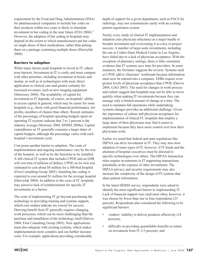requirement by the Food and Drug Administration (FDA) for pharmaceutical companies to include bar codes on their products within two years is likely to stimulate investment in bar coding in the near future (FDA 2004).<sup>2</sup> However, the adoption of bar coding in hospitals may depend on the extent to which manufacturers put bar codes on single doses of their medications, rather than putting them on a package containing multiple doses (Hawryluk 2004).

#### **Barriers to adoption**

While many factors push hospitals to invest in IT, others pose barriers. Investment in IT is costly and must compete with other priorities, including investment in bricks and mortar, as well as in technologies with more direct application to clinical care and greater certainty for increased revenues, such as new imaging equipment (Morrissey 2004). The availability of capital for investment in IT depends, of course, on hospitals' ability to access capital in general, which may be easier for some hospitals (e.g., those with good financial performance, forprofits, members of chains) than others. Recent estimates of the percentage of hospital operating budgets spent on operating IT systems indicate that 2 to 3 percent is the industry average (Morrisey 2004, HIMSS 2004a). Capital expenditures on IT generally consume a larger share of capital budgets, although the percentage varies with each hospital's investment cycle.

Cost poses another barrier to adoption. The costs of implementation and ongoing maintenance vary by the size of the hospital, as well as by the functions to be installed. A full clinical IT system that includes CPOE and an EHR will cost tens of millions of dollars; CPOE on its own was estimated to cost about \$8 million for a 500-bed hospital (First Consulting Group 2003). Installing bar coding is expected to cost around \$1 million for the average hospital (Hawryluk 2004). In addition to the costs of IT, hospitals may perceive lack of reimbursement for specific IT investments as a barrier.

The costs of implementing IT go beyond purchasing the technology to providing training and systems support, which case studies indicate are crucial for success. Deriving benefit from IT generally requires changing work processes, which can be more challenging than the purchase and installation of the technology itself (Darves 2004, First Consulting Group 2003). New applications must also integrate with existing systems, which makes implementation more complex and can further increase costs. For example, applications providing considerable

depth of support for a given department, such as PACS for radiology, may not communicate easily with an existing patient registration system.

Nearly every study of clinical IT implementation and adoption cites physician reluctance as a major hurdle to broader investment and overcoming it as a key to project success. A number of large-scale investments, including the one at Cedars-Sinai Medical Center in Los Angeles, have failed due to a lack of physician acceptance. With the exception of pharmacy settings, there is little consistent evidence that IT systems save time for providers. In some instances, the literature suggests the reverse: Systems such as CPOE add to clinicians' workloads because information must now be entered into a computer. EHRs require even greater levels of physician acceptance than CPOE (Darves 2004, GAO 2003). The need for changes in work process and culture suggest that hospitals may not be able to move quickly when making IT investments because they can manage only a limited amount of change at a time. The need to maintain full operations while undertaking systems changes provides an additional challenge. Given the importance of culture and physician acceptance for implementation of clinical IT, hospitals that employ a large share of their physicians may find it easier to implement because they have more control over how their physicians work.

Earlier we noted that federal and state regulations like HIPAA can drive investment in IT. They may also slow adoption of some types of IT, however, if IT funds and the attention of hospital executives must be directed to specific technologies over others. The HIPAA transaction rules require investments in IT supporting transactions, potentially at the expense of other investments. The HIPAA privacy and security requirements may also increase the complexity of the design of IT systems that share patient information.

In the latest HIMSS survey, respondents were asked to identify the most significant barrier to implementing IT. Lack of financial support was cited most often; however, it was chosen by fewer than one in four respondents (23 percent). Respondents also considered the following to be significant barriers:

- vendors' inability to deliver products effectively (14) percent);
- difficulty in providing quantifiable benefits or return on investment from IT (13 percent); and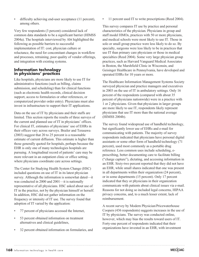• difficulty achieving end-user acceptance (11 percent), among others.

Very few respondents (3 percent) considered lack of common data standards to be a significant barrier (HIMSS 2004a). The hospitals interviewed by Abt highlighted the following as possible barriers to successful implementation of IT: cost, physician culture or reluctance, the need for concomitant changes in workflow and processes, retraining, poor quality of vendor offerings, and integration with existing systems.

### **Information technology in physicians' practices**

Like hospitals, physicians are more likely to use IT for administrative functions (such as billing, claims submission, and scheduling) than for clinical functions (such as electronic health records, clinical decision support, access to formularies or other references, or computerized provider order entry). Physicians must also invest in infrastructure to support their IT applications.

Data on the use of IT by physicians and their staffs are limited. This section reports the results of three surveys of the current and planned use of IT in physicians' offices. For clinical IT, estimates of physicians' use of EHRs in their offices vary across surveys. Brailer and Terasawa (2003) suggest that 20 to 25 percent is a reasonable estimate of current diffusion. This estimate is higher than those generally quoted for hospitals, perhaps because the EHR is only one of many technologies hospitals are pursuing. A longitudinal record of patients' care may be more relevant in an outpatient clinic or office setting, where physicians coordinate care across settings.

The Center for Studying Health System Change (HSC) included questions on use of IT in its latest physician survey. Although the information is somewhat dated—it was conducted in 2000 and 2001—it is nationally representative of all physicians. HSC asked about use of IT in the practice, not by the physician himself or herself. In addition, HSC did not gather information on the frequency or intensity of IT use. The survey found that adoption of IT varied by the application:

- 77 percent of physicians accessed the Internet,
- 53 percent obtained information on treatment alternatives and clinical guidelines,
- 32 percent obtained information on formularies, and

11 percent used IT to write prescriptions (Reed 2004).

This survey compares IT use by practice and personal characteristics of the physician. Physicians in group and staff model HMOs, practices with 50 or more physicians, and medical schools were most likely to use IT. Those in solo or small group practice were less likely to do so. By specialty, surgeons were less likely to be in practices that use IT than primary care physicians or those in medical specialties (Reed 2004). Some very large physician group practices, such as Harvard Vanguard Medical Associates in Boston, the Marshfield Clinic in Wisconsin, and Geisinger Healthcare in Pennsylvania, have developed and operated EHRs for 10 years or more.

The Healthcare Information Management Systems Society surveyed physician and practice managers and executives in 2003 on the use of IT in ambulatory settings. Only 16 percent of the respondents (compared with about 35 percent of physicians nationwide) were in a practice with 1 or 2 physicians. Given that physicians in larger groups are more likely to use IT, respondents likely represent physicians that use IT more than the national average (HIMSS 2004b).

The survey found widespread use of handheld technology, but significantly lower use of EHRs and e-mail for communicating with patients. The majority of survey respondents indicated that physicians have personal digital assistants or some other form of handheld technology (71 percent), used most commonly as a portable drug reference. Less common uses include scheduling, eprescribing, better documenting care to facilitate billing ("charge capture"), dictating, and accessing information in an EHR. Sixty-two percent reported that they did not have an EHR, while small shares indicated that one was present in all departments within their organization (24 percent), or in some departments (15 percent). Only 17 percent indicated that they or physicians in their organization communicate with patients about clinical issues via e-mail. Reasons for not doing so included legal concerns, HIPAA privacy concerns, and, to a much lesser extent, lack of reimbursement.

A recent survey by Modern Physician/Pricewaterhouse Coopers (436 respondents) suggests increases in the use of IT by physicians. The survey was conducted online, however, which may bias the results toward users of IT. Forty-one percent of respondents indicated that their organizations have invested in an EHR, with investment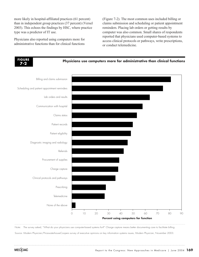more likely in hospital-affiliated practices (61 percent) than in independent group practices (37 percent) (Versel 2003). This echoes the findings by HSC, where practice type was a predictor of IT use.

Physicians also reported using computers more for administrative functions than for clinical functions

(Figure 7-2). The most common uses included billing or claims submission and scheduling or patient appointment reminders. Placing lab orders or getting results by computer was also common. Small shares of respondents reported that physicians used computer-based systems to access clinical protocols or pathways, write prescriptions, or conduct telemedicine.



Note: The survey asked, "What do your physicians use computer-based systems for?" Charge capture means better documenting care to facilitate billing.

Source: Modern Physician/PricewaterhouseCoopers survey of executive opinions on key information systems issues, Modern Physician, November 2003.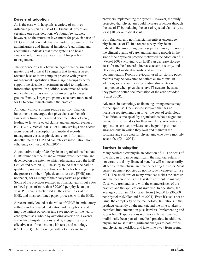### **Drivers of adoption**

As is the case with hospitals, a variety of motives influence physicians' use of IT. Financial returns are certainly one consideration. We found few studies, however, on the return on investment for physician use of IT. One might conclude that the widespread use of IT for administrative and financial functions (e.g., billing and accounting) indicates that these systems do bear a financial return, or are at least useful for practice management.

The evidence of a link between larger practice size and greater use of clinical IT suggests that having a larger revenue base or more complex practice with greater management capabilities allows larger groups to better support the sizeable investments needed to implement information systems. In addition, economies of scale reduce the per physician cost of investing for larger groups. Finally, larger groups may also have more need for IT to communicate within the practice.

Although clinical systems require up-front financial investment, some argue that physicians can benefit financially from the increased documentation of care, leading to fewer rejected claims and enhanced revenues (CITL 2003, Versel 2003). For EHRs, savings also accrue from reduced transcription and medical records management costs, as physicians enter information directly into the EHR and can retrieve information more efficiently (Miller and Sim 2004).

A qualitative study of 30 physician organizations that had EHRs found that the financial returns were uncertain, and depended on the extent to which physicians used the EHR (Miller and Sim 2004). The study found that "the path to quality improvement and financial benefits lies in getting the greatest number of physicians to use the [EHR] (and not paper) for as many of their daily tasks as possible." Some of the practices realized no financial gains, but a few realized gains of more than \$20,000 per physician per year. Physicians rarely used all the capabilities of the EHR, and most combined paper processes with the EHR.

A recent study looked at the value of CPOE in ambulatory settings and estimated that nationwide adoption could improve patient outcomes and save money for the health care system as a whole by avoiding adverse drug events and related hospitalizations, and by suggesting costeffective use of medications, lab tests, and radiology (CITL 2003). These savings will not all accrue to the

providers implementing the system. However, the study projected that physicians could increase revenues through the use of IT by reducing the cost of rejected claims by at least \$10 per outpatient visit.

Both financial and nonfinancial incentives encourage physician use of IT. In a recent survey, physicians indicated that improving business performance, improving the clinical quality of care, and managing growth in the size of the physician practice motivated the adoption of IT (Versel 2003). Moving to an EHR can decrease storage costs for medical records; increase access, security, and efficiency of medical records; and improve documentation. Rooms previously used for storing paper records may be converted to patient exam rooms. In addition, some insurers are providing discounts on malpractice when physicians have IT systems because they provide better documentation of the care provided (Scalet 2003).

Advances in technology or financing arrangements may further spur use. Open source software that has no licensing requirements can lower the cost of technology. In addition, some specialty organizations have negotiated discounts from vendors for their members. Alternatively, application service providers have begun to promote arrangements in which they own and maintain the software and store data for physicians, who pay a monthly access fee (Chin 2004).

#### **Barriers to adoption**

Many barriers slow physician adoption of IT. The costs of investing in IT can be significant, the financial return is not certain, and any financial benefits will not necessarily all accrue to the physician practice bearing the costs. Most current payment policies do not include incentives for use of IT. The small size of many practices makes the start-up and maintenance costs of IT systems difficult to manage. Costs vary tremendously with the characteristics of the practice and the applications involved. In one study, the average cost of an EHR varied from \$16,000 to \$36,000 per physician (Miller and Sim 2004). Even if cost is not an issue, the complexity of the technology, limitations in the products currently on the market, and the time it takes to complete implementation pose barriers. Implementing and supporting IT applications requires skills that have not traditionally been part of a medical practice. In addition, physicians must make significant changes to both office and physician workflow and take time away from seeing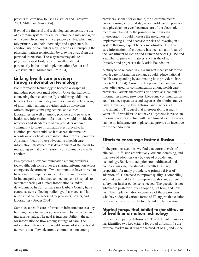patients to learn how to use IT (Brailer and Terasawa 2003, Miller and Sim 2004).

Beyond the financial and technological concerns, the use of electronic systems for clinical reminders may not agree with some physicians' clinical practice styles, which may rely primarily on their knowledge and experience. In addition, use of computers may be seen as interrupting the physician-patient relationship by drawing away from the personal interaction. These systems may add to a physician's workload, rather than alleviating it, particularly in the initial implementation (Brailer and Terasawa 2003, Miller and Sim 2004).

## **Linking health care providers through information technology**

For information technology to become widespread, individual providers must adopt it. Once that happens, connecting them electronically could bring additional benefits. Health care today involves considerable sharing of information among providers such as physicians' offices, hospitals, imaging centers, and clinical laboratories, as well as among providers and payers. A health care information infrastructure would provide the networks and standards to allow providers within a community to share information electronically. In addition, patients could use it to access their medical records or other health care information from all providers. A primary focus of those advocating a health care information infrastructure is development of standards for messaging so that one IT system can communicate with another.

Few systems allow communication among providers today, although some cities are sharing information across emergency departments. Two communities have moved to have a more comprehensive ability to share information. In Indianapolis, an intranet connecting some hospitals to facilitate sharing of clinical information is under development. In California, Santa Barbara County has a central system collecting radiology, pharmacy, and lab reports that can be accessed by providers, payers, and laboratories (Broder 2004).

Some see a health care information infrastructure as a key building block to encourage investment by providers and increase its value. The goal is interoperability—the ability for information to flow among settings of care. The information infrastructure would consist of standards and networks that allow electronic communication among

providers, so that, for example, the electronic record created during a hospital stay is accessible to the primary care physician, or even becomes part of the electronic record maintained by the primary care physician. Interoperability could increase the usefulness of implementing IT and decrease the risk of investing in a system that might quickly become obsolete. The health care information infrastructure has been a major focus of the Department of Health and Human Services (HHS) and a number of private initiatives, such as the eHealth Initiative and projects at the Markle Foundation.

A study to be released in 2004 suggests that standardized health care information exchange could reduce national health care spending by automating how providers share data (CITL 2004). Currently, telephone, fax, and mail are most often used for communication among health care providers. Patients themselves also serve as a conduit of information among providers. Electronic communication could reduce repeat tests and expenses for administrative tasks. However, the low diffusion and riskiness of investment in IT suggest that interoperability is many years off. If providers do not have IT systems in place, an information infrastructure will have limited use. However, having an infrastructure in place may provide an incentive for further adoption.

# **Efforts to encourage faster diffusion**

In the previous sections, we find that current levels of clinical IT diffusion are relatively low but increasing, and that rates of adoption vary by type of provider and technology. Barriers to adoption are multifaceted and complex, making investment in health IT a risky proposition for many providers. A primary driver of adoption of IT, the need to improve quality is compelling. We find potential for IT to improve quality and patient safety, but further evidence is needed. The question is not whether to push for further adoption, but how, and how fast. The implementation experience of those providers who have adopted various forms of IT suggest that caution is warranted to ensure effective, broad implementation.

### **Market forces that inhibit faster diffusion of health information technology**

Research comparing diffusion of IT in different industries has identified two key criteria for broad diffusion: 1) the external market must reward the product of IT, and 2) the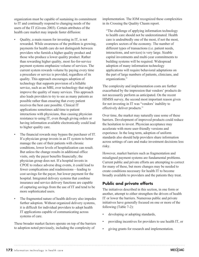organization must be capable of sustaining its commitment to IT and continually respond to changing needs of the users of the IT (Givens 2003). Certain attributes of the health care market may impede faster diffusion:

- Quality, a main reason for investing in IT, is not rewarded. While awareness of the problem is growing, payments for health care do not distinguish between providers who furnish a higher quality product and those who produce a lower quality product. Rather than rewarding higher quality, most fee-for-service payment systems emphasize volume of services. The current system rewards volume by paying every time a procedure or service is provided, regardless of its quality. This approach encourages adoption of technology that supports provision of a billable service, such as an MRI, over technology that might improve the quality of many services. This approach also leads providers to try to see as many patients as possible rather than ensuring that every patient receives the best care possible. Clinical IT applications sometimes add time to patient interactions with physicians, thus causing physician resistance to using IT, even though giving orders or having information available electronically could lead to higher quality care.
- The financial rewards may bypass the purchaser of IT. If a physician group invests in an IT system to better manage the care of their patients with chronic conditions, lower levels of hospitalization can result. But unless the change results in additional office visits, only the payer benefits financially; the physician group does not. If a hospital invests in CPOE to reduce adverse drug events, it could lead to fewer complications and readmissions—leading to cost savings for the payer, but lower payment for the hospital. Integrated delivery systems that combine insurance and service delivery functions are capable of capturing savings from the use of IT and tend to be more sophisticated users.
- The fragmented nature of health delivery also impedes further adoption. Without organized delivery systems, it is difficult for individual providers to adopt health IT applications capable of communicating across systems of care.

These broader market factors operate on top of the barriers to adoption noted previously, including the complexity of

implementation. The IOM recognized these complexities in its Crossing the Quality Chasm report.

"The challenge of applying information technology to health care should not be underestimated. Health care is undoubtedly one of the most, if not the most, complex sectors of the economy. The number of different types of transactions (i.e. patient needs, interactions, and services) is very large. Sizable capital investments and multi-year commitments to building systems will be required. Widespread adoption of many information technology applications will require behavioral adaptations on the part of large numbers of patients, clinicians, and organizations."

The complexity and implementation costs are further exacerbated by the impression that vendors' products do not necessarily perform as anticipated. On the recent HIMSS survey, the second most important reason given for not investing in IT was "vendors' inability to effectively deliver products."

Over time, the market may naturally ease some of these barriers. Development of improved products could reduce the hesitation to invest. Physician acceptance may accelerate with more user-friendly versions and experience. In the long term, adoption of uniform standards also should help providers share information across settings of care and make investment decisions less risky.

However, market barriers such as fragmentation and misaligned payment systems are fundamental problems. Current public and private efforts are attempting to correct for many of these, but more changes may be needed to create conditions necessary for health IT to become broadly available to providers and the patients they treat.

# **Public and private efforts**

The initiatives described in this section, in one form or another, attempt to either strengthen the drivers of health IT or lower the barriers. Numerous public and private initiatives have generally focused on one or more of the following (Table 7-2):

- developing or adopting standards,
- providing incentives for providers to use health IT, or
- giving grants for research and implementation.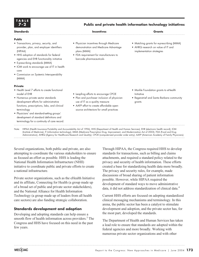| $7 - 2$   | Public and private health information technology initiatives |               |  |
|-----------|--------------------------------------------------------------|---------------|--|
| Standards | <i><u><b>Incentives</b></u></i>                              | <b>Grants</b> |  |
| Public    |                                                              |               |  |

• Physician incentives through Medicare

demonstration and Medicare Advantage

• FDA requirement for manufacturers to

barcode pharmaceuticals

plans (MMA)

- Matching grants for e-prescribing (MMA)
- AHRQ research on value of IT and implementation strategies

(HIPAA) • HHS adoption of standards for federal agencies and EHR functionality initiative

provider, plan, and employer identifiers

• Transactions, privacy, security, and

- E-prescribing standards (MMA)
- IOM work to encourage use of IT in health care
- Commission on Systemic Interoperability (MMA)

#### **Private**

**Public**

**TABLE**

- Health Level 7 efforts to create functional model of EHR
- Numerous private sector standards development efforts for administrative functions, prescriptions, labs, and clinical terminology
- Physicians' and standard-setting groups' development of standard definitions and terminology for a continuity of care record.
- Leapfrog efforts to encourage CPOE
- Plan and purchaser inclusion of physician use of IT as a quality measure
- AAFP effort to create affordable opensource architecture for small practices
- Markle Foundation grants to eHealth Initiative
- Regenstrief and Santa Barbara community grants

Note: HIPAA (Health Insurance Portability and Accountability Act of 1996), HHS (Department of Health and Human Services), EHR (electronic health record), IOM (Institute of Medicine), IT (information technology), MMA (Medicare Prescription Drug, Improvement, and Modernization Act of 2003), FDA (Food and Drug Administration), AHRQ (Agency for Healthcare Research and Quality), CPOE (computerized provider order entry), AAFP (American Academy of Family Physicians).

Several organizations, both public and private, are also attempting to coordinate the various stakeholders to ensure as focused an effort as possible. HHS is leading the National Health Information Infrastructure (NHII) initiative to coordinate public and private efforts to create a national infrastructure.

Private sector organizations, such as the eHealth Initiative and its affiliate, Connecting for Health (a group made up of a broad set of public and private sector stakeholders), and the National Alliance for Health Information Technology (a group made up of leaders from all health care sectors) are also funding strategic collaboration.

#### **Standards development and adoption**

Developing and adopting standards can help ensure a smooth flow of health information across providers.<sup>3</sup> The Congress and HHS have focused on this need in the past few years.

Through HIPAA, the Congress required HHS to develop standards for transactions, such as billing and claims attachments, and required a standard policy related to the privacy and security of health information. These efforts created a base for standardizing health data more broadly. The privacy and security rules, for example, made discussions of broad sharing of patient information possible. However, while HIPAA required the development of standard ways to move administrative data, it did not address standardization of clinical data.<sup>4</sup>

Current HHS efforts are focused on adopting standardized clinical messaging mechanisms and terminology. In this arena, the public sector has been a catalyst to stimulate development and adoption, and the private sector has, for the most part, developed the standards.

The Department of Health and Human Services has taken a lead role to ensure that standards are adopted within the federal agencies and more broadly. Working with numerous private sector organizations and with other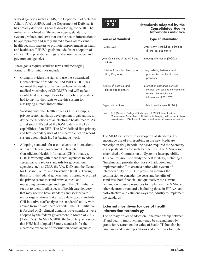federal agencies such as CMS, the Department of Veterans Affairs (VA), AHRQ, and the Department of Defense, it has broadly defined its goal as developing the NHII. The initiative is defined as "the technologies, standards, systems, values, and laws that enable health information to be appropriately and safely shared among all relevant health decision-makers to promote improvements in health and healthcare." HHS's goals include faster adoption of clinical IT in provider settings, and across providers and government agencies.

These goals require standard terms and messaging formats. HHS initiatives include:

- Giving providers the rights to use the Systemized Nomenclature of Medicine (SNOMED). HHS has obtained the rights to the comprehensive standard medical vocabulary of SNOMED and will make it available at no charge. Prior to this policy, providers had to pay for the rights to use this system for classifying clinical information.
- Working with the Health Level 7 (HL7) group, a private sector standards development organization, to define the functions of an electronic health record. As a first step, HHS asked the IOM to define the key capabilities of an EHR. The IOM defined five primary and five secondary uses of an electronic health record system upon which HL7 is basing its work.
- Adopting standards for use in electronic interactions within the federal government. Through the Consolidated Health Informatics (CHI) initiative, HHS is working with other federal agencies to adopt certain private sector standards for government agencies, such as CMS, the VA, DoD, and the Centers for Disease Control and Prevention (CDC). Through this effort, the federal government is hoping to prompt the private sector to standardize clinical and messaging terminology and logic. The CHI initiative set out to identify all aspects of health care delivery that may need to have standards and seek private sector organizations that already developed standards. CHI initiative staff analyze the standards' utility with advice from private sector experts. The CHI initiative is focused on 24 clinical domains. Five standards were adopted by the federal government in March of 2003 (Table 7-3). On May 6, 2004, the Secretary announced that HHS had adopted 15 more standards for the electronic exchange of information across agencies.



#### **Standards adopted by the Consolidated Health Informatics initiative**

| Source of standard                                          |                                                                                                                                                                                                                   | <b>Type of information</b>                                                                                              |  |
|-------------------------------------------------------------|-------------------------------------------------------------------------------------------------------------------------------------------------------------------------------------------------------------------|-------------------------------------------------------------------------------------------------------------------------|--|
| Health Level 7                                              |                                                                                                                                                                                                                   | Order entry, scheduling, admitting,<br>discharge, and transfer                                                          |  |
| Joint Committee of the ACR and<br><b>NFMA</b>               |                                                                                                                                                                                                                   | Imaging information (DICOM)                                                                                             |  |
| National Council on Prescription<br>Drug Programs           |                                                                                                                                                                                                                   | Drug ordering between retail<br>pharmacies and health care<br>providers                                                 |  |
| Institute of Electrical and<br><b>Electronics Engineers</b> |                                                                                                                                                                                                                   | Information exchange between<br>medical devices and the computer<br>systems that receive the<br>information (IEEE 1073) |  |
| Regenstrief Institute                                       |                                                                                                                                                                                                                   | Lab test result names (LOINC)                                                                                           |  |
| Note:                                                       | ACR (American College of Radiology), NEMA (National Electrical<br>Manufacturers Association), DICOM (Digital Imaging and Communications<br>in Medicine), LOINC (Logical Observation Identifiers Names and Codes). |                                                                                                                         |  |

The MMA calls for further adoption of standards. To encourage use of e-prescribing in the new Medicare prescription drug benefit, the MMA required the Secretary to adopt standards for such transactions. The MMA also established a Commission on Systemic Interoperability. This commission is to study the best strategy, including a "timeline and prioritization for such adoption and implementation," to create a nationwide system of interoperability of IT. The provision requires the commission to consider the costs and benefits of standards, both financial and qualitative; the current demand on industry resources to implement the MMA and other electronic standards, including those in HIPAA; and cost-effective and efficient ways for industry to implement the standards.

### **External incentives for use of health information technology**

The primary driver of adoption—the relationship between IT and quality improvement—may be strengthened by grants for research on the value of health IT, but also by purchaser and plan expectations and incentives for high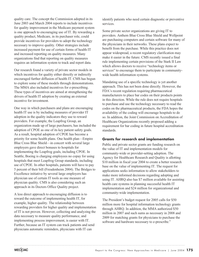quality care. The concept the Commission adopted in its June 2003 and March 2004 reports to include incentives for quality improvement in the Medicare payment system is one approach to encouraging use of IT. By rewarding a quality product, Medicare, in its purchaser role, could provide incentives for providers to adopt the technology necessary to improve quality. Other strategies include increased payment for use of certain forms of health IT and increased reporting on quality measures. Many organizations find that reporting on quality measures requires an information system to track and report data.

Our research found a variety of private sector models in which incentives for quality either directly or indirectly encouraged further diffusion of health IT. CMS has begun to explore some of these models through demonstrations. The MMA also included incentives for e-prescribing. These types of incentives are aimed at strengthening the drivers of health IT adoption by creating an external incentive for investment.

One way in which purchasers and plans are encouraging health IT use is by including measures of provider IT adoption in the quality indicators they use to reward providers. For example, the Leapfrog Group, an organization made up of large purchasers, has included the adoption of CPOE as one of its key patient safety goals. As a result, hospital adoption of CPOE has become a priority for some health plans. One health plan—Empire Blue Cross Blue Shield—in concert with several large employers gave direct bonuses to hospitals for implementing the Leapfrog goals, including CPOE. In Seattle, Boeing is charging employees no copay for using hospitals that meet Leapfrog Group standards, including use of CPOE. In other hospitals, patients will have to pay 5 percent of their bill (Freudenheim 2004). The Bridges to Excellence initiative by several large employers has physician use of certain IT tools as one measure of physician quality. CMS is also considering such an approach in its Doctors Office Quality project.

A less direct approach to encouraging diffusion is to reward the outcome of implementing health IT, for example, higher quality. The relationship between rewarding providers for higher quality and implementation of IT is not proven. However, collecting and analyzing the data necessary to measure quality performance, and implementing process improvement, is easier with IT. Further, because an IT system can track patients and send physicians automatic reminders, physicians with IT can

identify patients who need certain diagnostic or preventive services.

Some private sector organizations are giving IT to providers. Anthem Blue Cross Blue Shield and Wellpoint are purchasing computers and certain software for many of the physicians in their networks. These plans expect to benefit from the purchase. While this practice does not appear widespread, a recent regulatory clarification may make it easier in the future. CMS recently issued a final rule implementing certain provisions of the Stark II Law which allows doctors to receive "technology items or services" to encourage them to participate in communitywide health information systems.

Mandating use of a specific technology is yet another approach. This has not been done directly. However, the FDA's recent regulation requiring pharmaceutical manufacturers to place bar codes on their products points in this direction. While the rule does not require hospitals to purchase and use the technology necessary to read the codes on the pharmaceutical products, the FDA hopes the availability of the coding will encourage hospitals to do so. In addition, the Joint Commission on Accreditation of Healthcare Organizations recently proposed adding a requirement for bar coding in future hospital accreditation standards.

#### **Grants for research and implementation**

Public and private sector grants are funding research on the value of IT and implementation models for community-wide or provider-setting adoption. The Agency for Healthcare Research and Quality is allotting \$10 million in fiscal year 2004 to create a better research base on the value of implementing IT. The request for applications seeks information to allow stakeholders to make more informed decisions regarding adopting and using IT. AHRQ also has \$7 million available for assisting health care systems in planning successful health IT implementation and \$24 million for organizational and community-wide implementation.

The President's budget request for 2005 calls for \$50 million more for hospital information technology grants through AHRQ. In addition, the MMA authorized \$50 million in 2007 and such sums as necessary in 2008 and 2009 for matching grants for physicians to purchase the software and hardware necessary to e-prescribe.<sup>5</sup>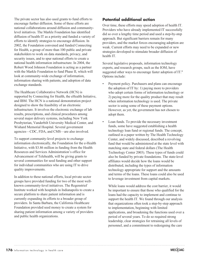The private sector has also used grants to fund efforts to encourage further diffusion. Some of these efforts are national collaborations around diffusion and communitylevel initiatives. The Markle Foundation has identified diffusion of health IT as a priority and funded a variety of efforts to identify strategies to encourage diffusion. In 2002, the Foundation convened and funded Connecting for Health, a group of more than 100 public and private stakeholders to work on data standards, privacy, and security issues, and to spur national efforts to create a national health information infrastructure. In 2004, the Robert Wood Johnson Foundation is acting as a partner with the Markle Foundation to fund Phase II, which will look at community-wide exchange of information, information sharing with patients, and adoption of data exchange standards.

The Healthcare Collaborative Network (HCN) is supported by Connecting for Health, the eHealth Initiative, and IBM. The HCN is a national demonstration project designed to show the feasibility of an electronic infrastructure. It involves the electronic exchange of lab results, prescriptions, and clinical procedures among several major delivery systems, including New York Presbyterian, Vanderbilt University Medical Center, and Wishard Memorial Hospital. Several government agencies—CDC, FDA, and CMS—are also involved.

To support community-level projects to exchange information electronically, the Foundation for the e-Health Initiative, with \$3.86 million in funding from the Health Resources and Services Administration's office for Advancement of Telehealth, will be giving grants to several communities for seed funding and other support for individual communities who are using IT to drive quality improvements.

In addition to these national efforts, local private sector groups have provided funding for two of the most wellknown community-level initiatives. The Regenstrief Institute worked with hospitals in Indianapolis to create a secure platform to share patient information and is currently expanding its efforts to a broader group of providers. In Santa Barbara, the California Healthcare Foundation provided seed money to create a system for sharing patient information among a variety of providers and public health organizations.

# **Potential additional action**

Over time, these efforts may speed adoption of health IT. Providers who have already implemented IT successfully did so over a lengthy time period and used a step-by-step approach. But significant barriers remain for many providers, and the market forces encouraging adoption are weak. Current efforts may need to be expanded or new strategies developed to stimulate broader diffusion of health IT.

Several legislative proposals, information technology experts, and research groups, such as the IOM, have suggested other ways to encourage faster adoption of IT.<sup>6</sup> Options include:

- Payment policy. Purchasers and plans can encourage the adoption of IT by: 1) paying more to providers who adopt certain forms of information technology or 2) paying more for the quality product that may result when information technology is used. The private sector is using some of these payment options. However, as yet, the government has not chosen to adopt them.
- Loan funds. To provide the necessary investment funds, some have suggested establishing a health technology loan fund or regional funds. The concept, outlined in a paper written by The Health Technology Center, and widely discussed, described a revolving fund that would be administered at the state level with matching state and federal dollars (The Health Technology Center 2003). These types of funds could also be funded by private foundations. The state-level affiliates would decide how the loans would be distributed, including the types of information technology appropriate for support and the amounts and terms of the loans. These loans could also be used to leverage investment from capital markets.

While loans would address the cost barrier, it would be important to ensure that those who qualified for the loans had the capacity to implement and continue to support the health IT. We found through our analysis that organizations often took a step-by-step approach to implementation, beginning with limited applications, and broadening the functions used over a period of several years. To do so required strong leadership, clear strategies for retraining all levels of personnel, and a commitment to redesigning the care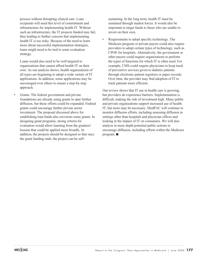process without disrupting clinical care. Loan recipients will need this level of commitment and infrastructure for implementing health IT. Without such an infrastructure, the IT projects funded may fail, thus leading to further concern that implementing health IT is too risky. Because of the need to learn more about successful implementation strategies, loans might need to be tied to some evaluation strategy.

Loans would also need to be well targeted to organizations that cannot afford health IT on their own. As our analysis shows, health organizations of all types are beginning to adopt a wide variety of IT applications. In addition, some applications may be encouraged over others to ensure a step-by-step approach.

• Grants. The federal government and private foundations are already using grants to spur further diffusion, but these efforts could be expanded. Federal grants could encourage further private sector investment. The proposal discussed above for establishing loan funds also envisions some grants. In designing grant programs, strong criteria for evaluation would allow learning from the grantees' lessons that could be applied more broadly. In addition, the projects should be designed so that once the grant funding ends, the project can be self-

sustaining. In the long term, health IT must be sustained through market forces. It would also be important to target funds to those who are unable to invest on their own.

• Requirements to adopt specific technology. The Medicare program or private payers could also require providers to adopt certain types of technology, such as CPOE for hospitals. Alternatively, the government or other payers could require organizations to perform the types of functions for which IT is often used. For example, CMS could require physicians to keep track of preventive services given to diabetic patients through electronic patient registries or paper records. Over time, the provider may find adoption of IT to track patients more efficient.

Our review shows that IT use in health care is growing, but providers do experience barriers. Implementation is difficult, making the risk of investment high. Many public and private organizations support increased use of health IT, but more may be necessary. MedPAC will continue to monitor diffusion efforts, including assessing diffusion in settings other than hospitals and physician offices and looking at the impact of IT on consumers. We will also analyze in more depth potential public actions to encourage diffusion, including efforts within the Medicare program.  $\blacksquare$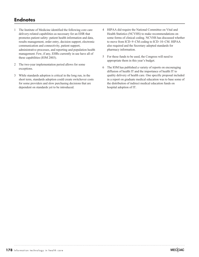# **Endnotes**

- 1 The Institute of Medicine identified the following core care delivery-related capabilities as necessary for an EHR that promotes patient safety: patient health information and data, results management, order entry, decision support, electronic communication and connectivity, patient support, administrative processes, and reporting and population health management. Few, if any, EHRs currently in use have all of these capabilities (IOM 2003).
- 2 The two-year implementation period allows for some exceptions.
- 3 While standards adoption is critical in the long run, in the short term, standards adoption could create switchover costs for some providers and slow purchasing decisions that are dependent on standards yet to be introduced.
- 4 HIPAA did require the National Committee on Vital and Health Statistics (NCVHS) to make recommendations on some forms of clinical coding. NCVHS has discussed whether to move from ICD–9–CM coding to ICD–10–CM. HIPAA also required and the Secretary adopted standards for pharmacy information.
- 5 For these funds to be used, the Congress will need to appropriate them in this year's budget.
- 6 The IOM has published a variety of reports on encouraging diffusion of health IT and the importance of health IT to quality delivery of health care. One specific proposal included in a report on graduate medical education was to base some of the distribution of indirect medical education funds on hospital adoption of IT.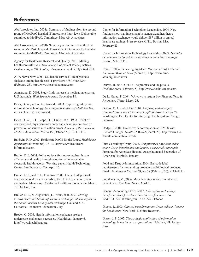# **References**

Abt Associates, Inc. 2004a. Summary of findings from the second round of MedPAC hospital IT investment interviews. Deliverable submitted to MedPAC. Cambridge, MA: Abt Associates.

Abt Associates, Inc. 2004b. Summary of findings from the first round of MedPAC hospital IT investment interviews. Deliverable submitted to MedPAC. Cambridge, MA: Abt Associates.

Agency for Healthcare Research and Quality. 2001. Making health care safer: A critical analysis of patient safety practices. *Evidence Report/Technology Assessment* no. 43 (July): 624–631.

AHA News Now. 2004. UK health service IT chief predicts shakeout among health care IT providers *AHA News Now* (February 25). http://www.hospitalconnect.com.

Armstrong, D. 2003. Study finds increase in medication errors at U.S. hospitals. *Wall Street Journal*. November 18.

Bates, D. W., and A. A. Gawande. 2003. Improving safety with information technology. *New England Journal of Medicine* 348, no. 25 (June 19): 2526–2534.

Bates, D. W., L. L. Leape, D. J. Cullen, et al. 1998. Effect of computerized physician order entry and a team intervention on prevention of serious medication errors. *Journal of the American Medical Association* 280 no.15 (October 21): 1311–1316.

Baldwin, F. D. 2002. Healthcare PACS for the future. *Healthcare Informatics* (November): 38–43. http://www.healthcareinformatics.com.

Brailer, D. J. 2004. Policy options for improving health care efficiency and quality through adoption of interoperable electronic health records. Working paper. Health Technology Center. San Francisco, CA. April 16.

Brailer, D. J., and E. L. Terasawa. 2003. Use and adoption of computer-based patient records in the United States: A review and update. Manuscript. California Healthcare Foundation. March 28. Oakland, CA.

Brailer, D. J., N. Augustinos, L. Evans, et al. 2003. *Moving toward electronic health information exchange: Interim report on the Santa Barbara County data exchange*. Oakland, CA: California Healthcare Foundation. July.

Broder, C. 2004. Health information exchange projects underscore challenges, successes. iHealthBeat. January 6. http://www.ihealthbeat.org.

Center for Information Technology Leadership. 2004. New findings show that investment in standardized healthcare information exchange would deliver \$87 billion in annual healthcare savings. Press release, CITL, Boston, MA. February 23.

Center for Information Technology Leadership. 2003*. The value of computerized provider order entry in ambulatory settings*. Boston, MA: CITL.

Chin, T. 2004. Financing high-tech: You can afford it after all. *American Medical News* (March 8). http://www.amaassn.org/amednews.

Darves, B. 2004. CPOE: The promise and the pitfalls. *HealthLeaders* (February 5). http://www.healthleaders.com.

De La Garza, P. 2004. VA vows to retrain Bay Pines staffers. *St. Petersburg Times*. March 23.

Devers, K. J., and G. Liu. 2004. *Leapfrog patient-safety standards are a stretch for most hospitals*. Issue brief no. 77. Washington, DC: Center for Studying Health System Change. February.

Dodge, J. 2004. Exclusive: A conversation at HIMSS with Richard Granger. *Health-IT World* (March 29). http://www.bioitworld.com/archive/retort/.

First Consulting Group. 2003. *Computerized physician order entry: Costs, benefits and challenges, a case study approach.* Prepared for American Hospital Association and Federation of American Hospitals. January.

Food and Drug Administration. 2004. Bar code label requirements for human drug products and biological products. Final rule. *Federal Register* 69, no. 38 (February 26): 9119–9171.

Freudenheim, M., 2004. Many hospitals resist computerized patient care. *New York Times*. April 6.

General Accounting Office. 2003. *Information technology: Benefits realized for selected health care functions.* no. GAO–04–224. Washington, DC: GAO. October.

Givens, R. 2003. *Clinical transformation: Cross-industry lessons for health care.* New York: Deloitte Research.

Glaser, J. P. 2002. *The strategic application of information technology in health care organizations.* Hoboken, NJ: Jossey-Bass.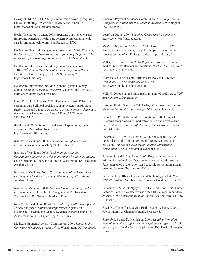Hawryluk, M. 2004. FDA targets medication errors by requiring bar codes on drugs. *American Medical News (*March 15). http://www.ama-assn.org/amednews.

Health Technology Center. 2003. Spending our money wisely: Improving America's health care system by investing in health care information technology. San Francisco: HTC.

Healthcare Financial Management Association. 2004. *Financing the future report 2: How are hospitals financing the future? The future of capital spending*. Westchester, IL: HFMA. March.

Healthcare Information and Management Systems Society. 2004a. *15th Annual HIMSS Leadership Survey. Final Report: Healthcare CIO*. Chicago, IL: HIMSS. February 23. http://www.himss.org.

Healthcare Information and Management Systems Society. 2004b. *Ambulatory technology survey*. Chicago, IL: HIMSS. February 9. http://www.himss.org.

Hunt, D. L., R. B. Haynes, S. E. Hanna, et al. 1998. Effects of computer-based clinical decision support systems on physician performance and patient outcomes: A systemic review. *Journal of the American Medical Association* 280, no.15 (October 21):1339–1346.

iHealthBeat. 2003. Report: Health care IT spending growth continues. *iHealthBeat*. November 20. http://www.ihealthbeat.org.

Institute of Medicine. 2003. *Key capabilities of an electronic health record system*. Washington, DC. July 31.

Institute of Medicine. 2002. *Leadership by example: Coordinating government roles in improving health care quality,* ed. J*.* Corrigan, J. Eden, and B. Smith. Washington, DC: National Academy Press.

Institute of Medicine. 2001. *Crossing the quality chasm: A new health system for the 21st century*. Washington, DC: National Academy Press.

Institute of Medicine. 2000. *To err is human: Building a safer health system*. ed. L. Kohn, J. Corrigan, and M. Donaldson. Washington, DC: National Academy Press.

Kaushal, K., and D. W. Bates. 2001. *Making health care safer: A critical analysis of patient safety practices*. Agency for Healthcare Research and Quality Evidence Report/Technology Assessment no. 43. Chapter 6. pg. 59-69. July.

Medicare Payment Advisory Commission. 2004. *Report to the Congress: Medicare payment policy.* Washington, DC: MedPAC. Medicare Payment Advisory Commission. 2003. *Report to the Congress: Variation and innovation in Medicare.* Washington, DC: MedPAC.

Leapfrog Group. 2004. *Leapfrog Group survey: Summary*. http://www.leapfroggroup.org.

McVicar, N., and A. M. Valdes. 2003. Hospitals seek RX for drug mistakes bar-coding, computers help cut errors. *South Florida Sun-Sentinel*. Ft. Lauderdale, Fla. pg.1.A. July 7.

Miller, R. H., and I. Sim. 2004. Physicians' use of electronic medical records: Barriers and solutions. *Health Affairs* 23, no. 2 (March/April): 116–126.

Morrissey, J. 2004. Capital crunch eats away at IT. *Modern Healthcare* 34, no.8 (February 23):32–62. http://www.modernhealthcare.com.

Naik, G. 2003. England plans major revamp of health care. *Wall Street Journal.* December 3.

National Health Service. 2004. *Making IT happen: Information about the National Programme for IT*. London, UK: NHS.

Oren, E., E. R. Shaffer, and B. J. Guglielmo. 2003. Impact of emerging technologies on medication errors and adverse drug events. *American Journal of Health System Pharmacists* 60, no. 14: 1447–1458.

Overhage, J. M., W. M. Tierney, X. H. Zhou, et al. 1997. A randomized trial of "corollary orders" to prevent errors of omission. *Journal of the American Medical Informatics Association* 4, no. 5 (September/October):364–375.

Parente, S., and R. Van Horn. 2002. Hospital investment in information technology: Does governance make a difference? Paper presented at the American Economic Association annual meeting, January. Washington, DC.

Parliamentary Office of Science and Technology. 2004. *New NHS IT.* Postnote Number 214 (February). London, UK: POST.

Patterson, E. S., A. D. Nguyen, J. P. Halloran, et al. 2004. Human factor barriers to the effective use of ten HIV clinical reminders. *Journal of the American Medical Informatics Association* 11, no. 1 (Jan/Feb).

Reed, M., Center for Studying Health System Change. 2004. Memorandum to Chantal Worzala, February 3.

Rosenfeld, S., and D. Mendelson. 2004. *Health information technology policy: Legislative and regulatory progress in 2003 and prospects for the future*. Washington, DC: Health Strategies Consultancy.